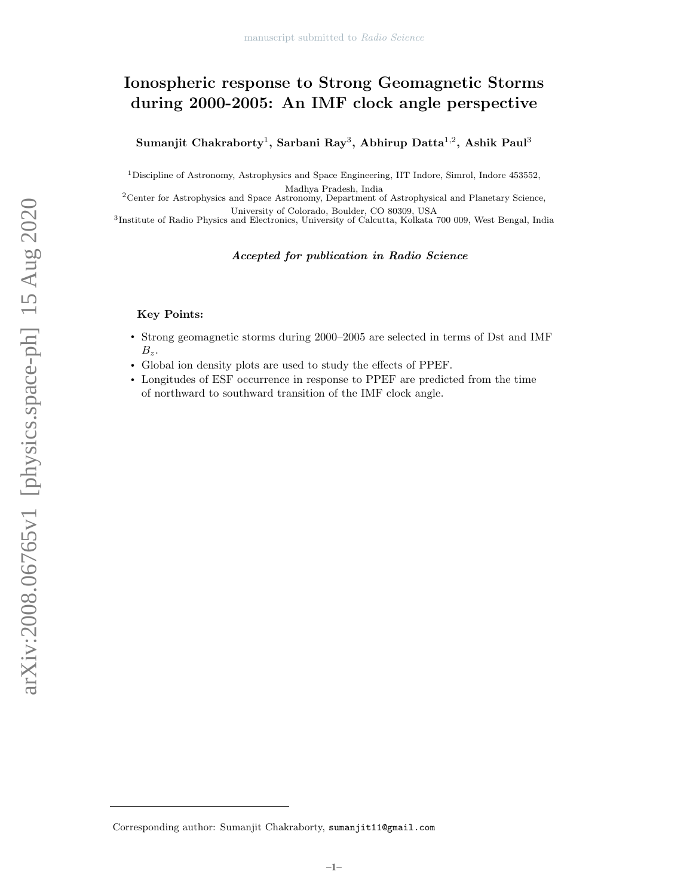# Ionospheric response to Strong Geomagnetic Storms during 2000-2005: An IMF clock angle perspective

Sumanjit Chakraborty<sup>1</sup>, Sarbani Ray<sup>3</sup>, Abhirup Datta<sup>1,2</sup>, Ashik Paul<sup>3</sup>

<sup>1</sup>Discipline of Astronomy, Astrophysics and Space Engineering, IIT Indore, Simrol, Indore 453552, Madhya Pradesh, India

<sup>2</sup>Center for Astrophysics and Space Astronomy, Department of Astrophysical and Planetary Science, University of Colorado, Boulder, CO 80309, USA

3 Institute of Radio Physics and Electronics, University of Calcutta, Kolkata 700 009, West Bengal, India

# Accepted for publication in Radio Science

## Key Points:

- Strong geomagnetic storms during 2000–2005 are selected in terms of Dst and IMF  $B_z$ .
- Global ion density plots are used to study the effects of PPEF.
- Longitudes of ESF occurrence in response to PPEF are predicted from the time of northward to southward transition of the IMF clock angle.

Corresponding author: Sumanjit Chakraborty, sumanjit11@gmail.com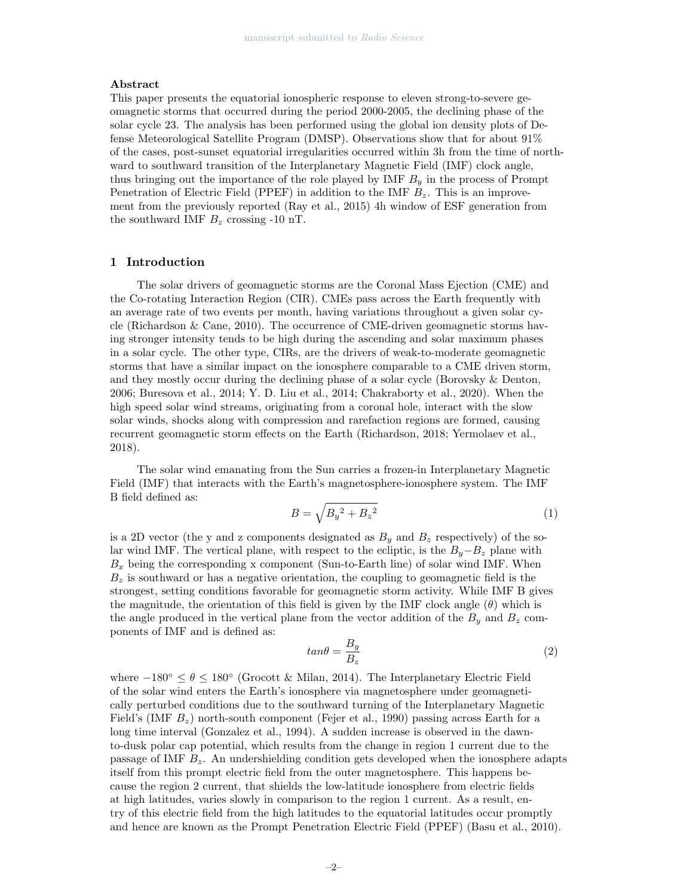## Abstract

This paper presents the equatorial ionospheric response to eleven strong-to-severe geomagnetic storms that occurred during the period 2000-2005, the declining phase of the solar cycle 23. The analysis has been performed using the global ion density plots of Defense Meteorological Satellite Program (DMSP). Observations show that for about 91% of the cases, post-sunset equatorial irregularities occurred within 3h from the time of northward to southward transition of the Interplanetary Magnetic Field (IMF) clock angle, thus bringing out the importance of the role played by IMF  $B<sub>y</sub>$  in the process of Prompt Penetration of Electric Field (PPEF) in addition to the IMF  $B_z$ . This is an improvement from the previously reported (Ray et al., 2015) 4h window of ESF generation from the southward IMF  $B_z$  crossing -10 nT.

### 1 Introduction

The solar drivers of geomagnetic storms are the Coronal Mass Ejection (CME) and the Co-rotating Interaction Region (CIR). CMEs pass across the Earth frequently with an average rate of two events per month, having variations throughout a given solar cycle (Richardson & Cane, 2010). The occurrence of CME-driven geomagnetic storms having stronger intensity tends to be high during the ascending and solar maximum phases in a solar cycle. The other type, CIRs, are the drivers of weak-to-moderate geomagnetic storms that have a similar impact on the ionosphere comparable to a CME driven storm, and they mostly occur during the declining phase of a solar cycle (Borovsky & Denton, 2006; Buresova et al., 2014; Y. D. Liu et al., 2014; Chakraborty et al., 2020). When the high speed solar wind streams, originating from a coronal hole, interact with the slow solar winds, shocks along with compression and rarefaction regions are formed, causing recurrent geomagnetic storm effects on the Earth (Richardson, 2018; Yermolaev et al., 2018).

The solar wind emanating from the Sun carries a frozen-in Interplanetary Magnetic Field (IMF) that interacts with the Earth's magnetosphere-ionosphere system. The IMF B field defined as:

$$
B = \sqrt{B_y^2 + B_z^2} \tag{1}
$$

is a 2D vector (the y and z components designated as  $B<sub>y</sub>$  and  $B<sub>z</sub>$  respectively) of the solar wind IMF. The vertical plane, with respect to the ecliptic, is the  $B_y-B_z$  plane with  $B_x$  being the corresponding x component (Sun-to-Earth line) of solar wind IMF. When  $B<sub>z</sub>$  is southward or has a negative orientation, the coupling to geomagnetic field is the strongest, setting conditions favorable for geomagnetic storm activity. While IMF B gives the magnitude, the orientation of this field is given by the IMF clock angle  $(\theta)$  which is the angle produced in the vertical plane from the vector addition of the  $B_y$  and  $B_z$  components of IMF and is defined as:

$$
tan\theta = \frac{B_y}{B_z} \tag{2}
$$

where  $-180^{\circ} \le \theta \le 180^{\circ}$  (Grocott & Milan, 2014). The Interplanetary Electric Field of the solar wind enters the Earth's ionosphere via magnetosphere under geomagnetically perturbed conditions due to the southward turning of the Interplanetary Magnetic Field's (IMF  $B_z$ ) north-south component (Fejer et al., 1990) passing across Earth for a long time interval (Gonzalez et al., 1994). A sudden increase is observed in the dawnto-dusk polar cap potential, which results from the change in region 1 current due to the passage of IMF  $B_z$ . An undershielding condition gets developed when the ionosphere adapts itself from this prompt electric field from the outer magnetosphere. This happens because the region 2 current, that shields the low-latitude ionosphere from electric fields at high latitudes, varies slowly in comparison to the region 1 current. As a result, entry of this electric field from the high latitudes to the equatorial latitudes occur promptly and hence are known as the Prompt Penetration Electric Field (PPEF) (Basu et al., 2010).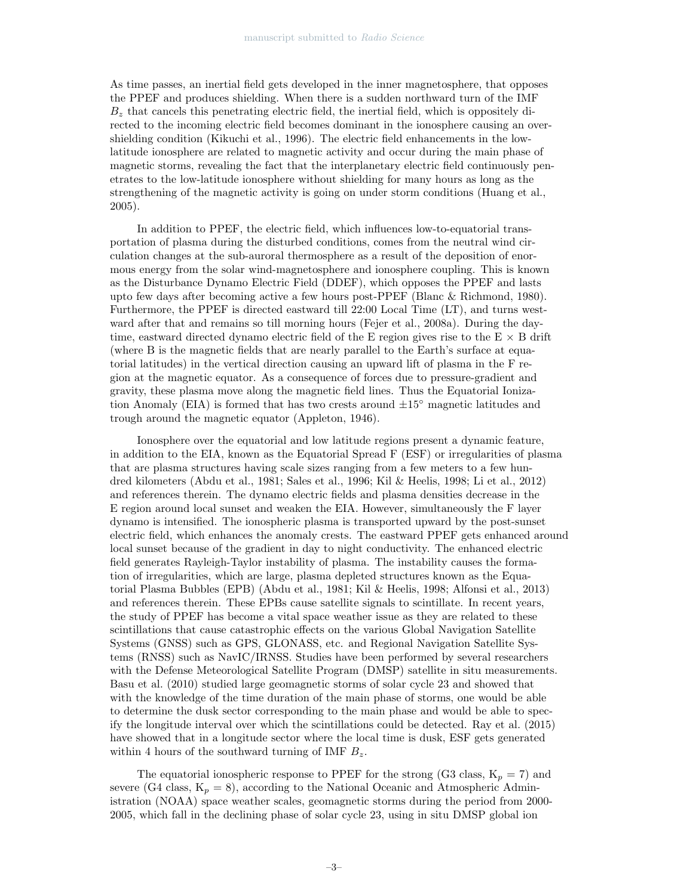As time passes, an inertial field gets developed in the inner magnetosphere, that opposes the PPEF and produces shielding. When there is a sudden northward turn of the IMF  $B<sub>z</sub>$  that cancels this penetrating electric field, the inertial field, which is oppositely directed to the incoming electric field becomes dominant in the ionosphere causing an overshielding condition (Kikuchi et al., 1996). The electric field enhancements in the lowlatitude ionosphere are related to magnetic activity and occur during the main phase of magnetic storms, revealing the fact that the interplanetary electric field continuously penetrates to the low-latitude ionosphere without shielding for many hours as long as the strengthening of the magnetic activity is going on under storm conditions (Huang et al., 2005).

In addition to PPEF, the electric field, which influences low-to-equatorial transportation of plasma during the disturbed conditions, comes from the neutral wind circulation changes at the sub-auroral thermosphere as a result of the deposition of enormous energy from the solar wind-magnetosphere and ionosphere coupling. This is known as the Disturbance Dynamo Electric Field (DDEF), which opposes the PPEF and lasts upto few days after becoming active a few hours post-PPEF (Blanc & Richmond, 1980). Furthermore, the PPEF is directed eastward till 22:00 Local Time (LT), and turns westward after that and remains so till morning hours (Fejer et al., 2008a). During the daytime, eastward directed dynamo electric field of the E region gives rise to the  $E \times B$  drift (where B is the magnetic fields that are nearly parallel to the Earth's surface at equatorial latitudes) in the vertical direction causing an upward lift of plasma in the F region at the magnetic equator. As a consequence of forces due to pressure-gradient and gravity, these plasma move along the magnetic field lines. Thus the Equatorial Ionization Anomaly (EIA) is formed that has two crests around  $\pm 15^\circ$  magnetic latitudes and trough around the magnetic equator (Appleton, 1946).

Ionosphere over the equatorial and low latitude regions present a dynamic feature, in addition to the EIA, known as the Equatorial Spread F (ESF) or irregularities of plasma that are plasma structures having scale sizes ranging from a few meters to a few hundred kilometers (Abdu et al., 1981; Sales et al., 1996; Kil & Heelis, 1998; Li et al., 2012) and references therein. The dynamo electric fields and plasma densities decrease in the E region around local sunset and weaken the EIA. However, simultaneously the F layer dynamo is intensified. The ionospheric plasma is transported upward by the post-sunset electric field, which enhances the anomaly crests. The eastward PPEF gets enhanced around local sunset because of the gradient in day to night conductivity. The enhanced electric field generates Rayleigh-Taylor instability of plasma. The instability causes the formation of irregularities, which are large, plasma depleted structures known as the Equatorial Plasma Bubbles (EPB) (Abdu et al., 1981; Kil & Heelis, 1998; Alfonsi et al., 2013) and references therein. These EPBs cause satellite signals to scintillate. In recent years, the study of PPEF has become a vital space weather issue as they are related to these scintillations that cause catastrophic effects on the various Global Navigation Satellite Systems (GNSS) such as GPS, GLONASS, etc. and Regional Navigation Satellite Systems (RNSS) such as NavIC/IRNSS. Studies have been performed by several researchers with the Defense Meteorological Satellite Program (DMSP) satellite in situ measurements. Basu et al. (2010) studied large geomagnetic storms of solar cycle 23 and showed that with the knowledge of the time duration of the main phase of storms, one would be able to determine the dusk sector corresponding to the main phase and would be able to specify the longitude interval over which the scintillations could be detected. Ray et al. (2015) have showed that in a longitude sector where the local time is dusk, ESF gets generated within 4 hours of the southward turning of IMF  $B_z$ .

The equatorial ionospheric response to PPEF for the strong (G3 class,  $K_p = 7$ ) and severe (G4 class,  $K_p = 8$ ), according to the National Oceanic and Atmospheric Administration (NOAA) space weather scales, geomagnetic storms during the period from 2000- 2005, which fall in the declining phase of solar cycle 23, using in situ DMSP global ion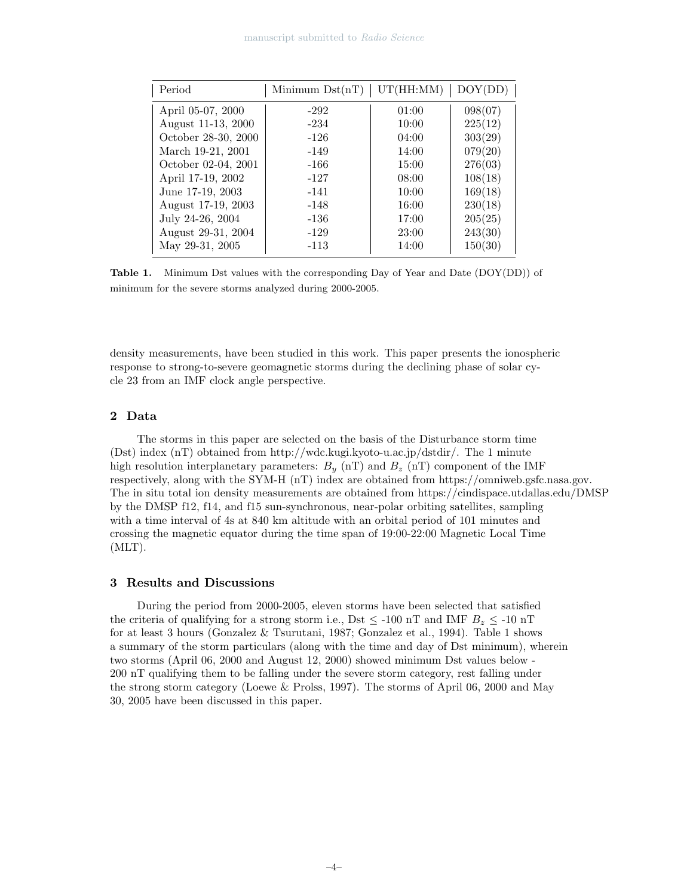| Period              | Minimum $Dist(nT)$ | UT(HH:MM) | DOY(DD) |
|---------------------|--------------------|-----------|---------|
| April 05-07, 2000   | $-292$             | 01:00     | 098(07) |
| August 11-13, 2000  | $-234$             | 10:00     | 225(12) |
| October 28-30, 2000 | $-126$             | 04:00     | 303(29) |
| March 19-21, 2001   | $-149$             | 14:00     | 079(20) |
| October 02-04, 2001 | $-166$             | 15:00     | 276(03) |
| April 17-19, 2002   | $-127$             | 08:00     | 108(18) |
| June 17-19, 2003    | $-141$             | 10:00     | 169(18) |
| August 17-19, 2003  | $-148$             | 16:00     | 230(18) |
| July 24-26, 2004    | $-136$             | 17:00     | 205(25) |
| August 29-31, 2004  | $-129$             | 23:00     | 243(30) |
| May 29-31, 2005     | $-113$             | 14:00     | 150(30) |

Table 1. Minimum Dst values with the corresponding Day of Year and Date (DOY(DD)) of minimum for the severe storms analyzed during 2000-2005.

density measurements, have been studied in this work. This paper presents the ionospheric response to strong-to-severe geomagnetic storms during the declining phase of solar cycle 23 from an IMF clock angle perspective.

# 2 Data

The storms in this paper are selected on the basis of the Disturbance storm time (Dst) index (nT) obtained from http://wdc.kugi.kyoto-u.ac.jp/dstdir/. The 1 minute high resolution interplanetary parameters:  $B_y$  (nT) and  $B_z$  (nT) component of the IMF respectively, along with the SYM-H (nT) index are obtained from https://omniweb.gsfc.nasa.gov. The in situ total ion density measurements are obtained from https://cindispace.utdallas.edu/DMSP by the DMSP f12, f14, and f15 sun-synchronous, near-polar orbiting satellites, sampling with a time interval of 4s at 840 km altitude with an orbital period of 101 minutes and crossing the magnetic equator during the time span of 19:00-22:00 Magnetic Local Time (MLT).

#### 3 Results and Discussions

During the period from 2000-2005, eleven storms have been selected that satisfied the criteria of qualifying for a strong storm i.e., Dst  $\leq$  -100 nT and IMF  $B_z \leq$  -10 nT for at least 3 hours (Gonzalez & Tsurutani, 1987; Gonzalez et al., 1994). Table 1 shows a summary of the storm particulars (along with the time and day of Dst minimum), wherein two storms (April 06, 2000 and August 12, 2000) showed minimum Dst values below - 200 nT qualifying them to be falling under the severe storm category, rest falling under the strong storm category (Loewe & Prolss, 1997). The storms of April 06, 2000 and May 30, 2005 have been discussed in this paper.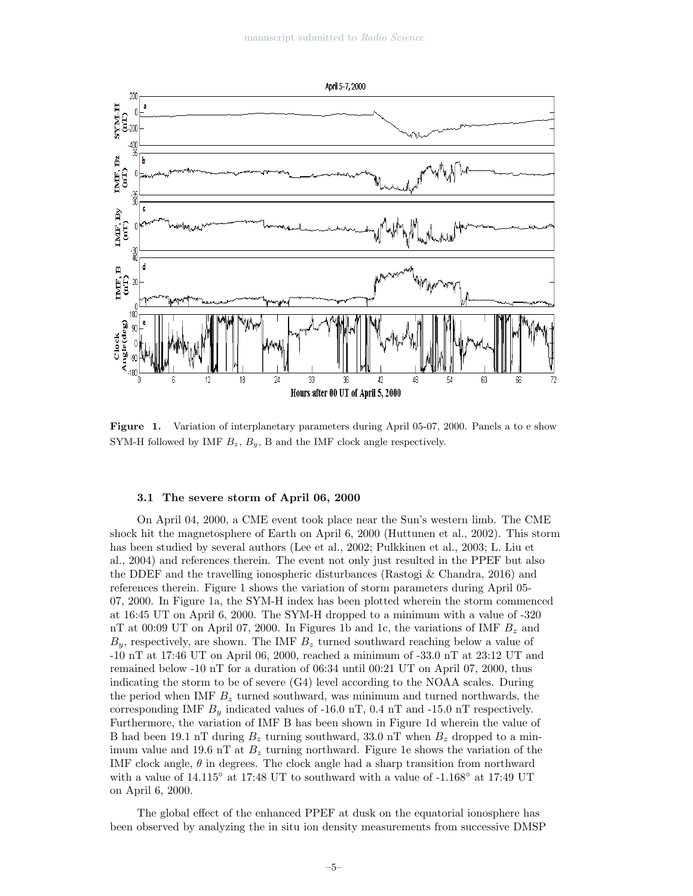

Figure 1. Variation of interplanetary parameters during April 05-07, 2000. Panels a to e show SYM-H followed by IMF  $B_z$ ,  $B_y$ , B and the IMF clock angle respectively.

#### 3.1 The severe storm of April 06, 2000

On April 04, 2000, a CME event took place near the Sun's western limb. The CME shock hit the magnetosphere of Earth on April 6, 2000 (Huttunen et al., 2002). This storm has been studied by several authors (Lee et al., 2002; Pulkkinen et al., 2003; L. Liu et al., 2004) and references therein. The event not only just resulted in the PPEF but also the DDEF and the travelling ionospheric disturbances (Rastogi & Chandra, 2016) and references therein. Figure 1 shows the variation of storm parameters during April 05- 07, 2000. In Figure 1a, the SYM-H index has been plotted wherein the storm commenced at 16:45 UT on April 6, 2000. The SYM-H dropped to a minimum with a value of -320 nT at 00:09 UT on April 07, 2000. In Figures 1b and 1c, the variations of IMF  $B_z$  and  $B_y$ , respectively, are shown. The IMF  $B_z$  turned southward reaching below a value of -10 nT at 17:46 UT on April 06, 2000, reached a minimum of -33.0 nT at 23:12 UT and remained below -10 nT for a duration of 06:34 until 00:21 UT on April 07, 2000, thus indicating the storm to be of severe (G4) level according to the NOAA scales. During the period when IMF  $B<sub>z</sub>$  turned southward, was minimum and turned northwards, the corresponding IMF  $B<sub>y</sub>$  indicated values of -16.0 nT, 0.4 nT and -15.0 nT respectively. Furthermore, the variation of IMF B has been shown in Figure 1d wherein the value of B had been 19.1 nT during  $B_z$  turning southward, 33.0 nT when  $B_z$  dropped to a minimum value and 19.6 nT at  $B_z$  turning northward. Figure 1e shows the variation of the IMF clock angle,  $\theta$  in degrees. The clock angle had a sharp transition from northward with a value of 14.115◦ at 17:48 UT to southward with a value of -1.168◦ at 17:49 UT on April 6, 2000.

The global effect of the enhanced PPEF at dusk on the equatorial ionosphere has been observed by analyzing the in situ ion density measurements from successive DMSP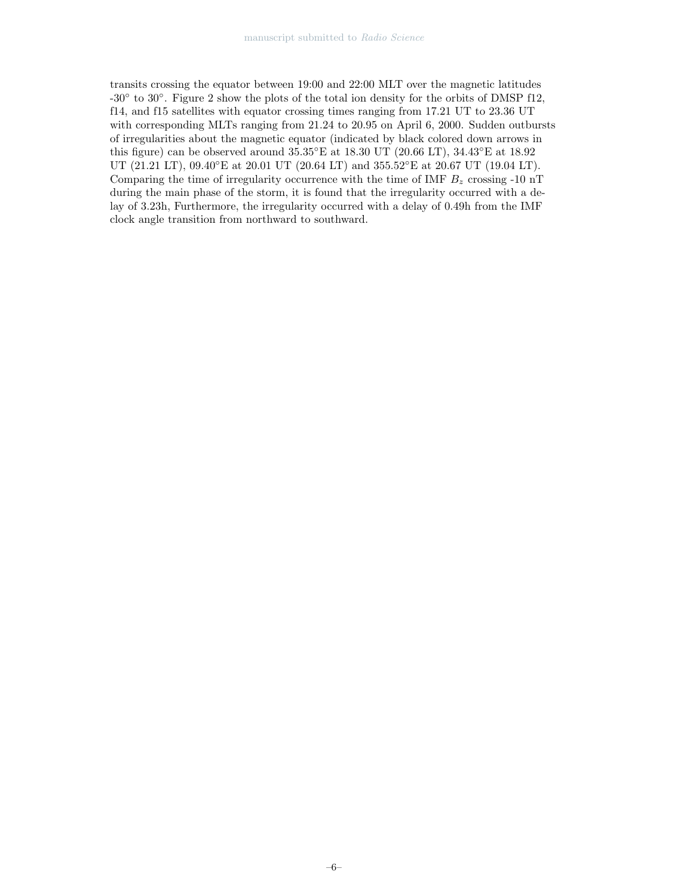transits crossing the equator between 19:00 and 22:00 MLT over the magnetic latitudes -30◦ to 30◦ . Figure 2 show the plots of the total ion density for the orbits of DMSP f12, f14, and f15 satellites with equator crossing times ranging from 17.21 UT to 23.36 UT with corresponding MLTs ranging from 21.24 to 20.95 on April 6, 2000. Sudden outbursts of irregularities about the magnetic equator (indicated by black colored down arrows in this figure) can be observed around 35.35◦E at 18.30 UT (20.66 LT), 34.43◦E at 18.92 UT (21.21 LT), 09.40°E at 20.01 UT (20.64 LT) and 355.52°E at 20.67 UT (19.04 LT). Comparing the time of irregularity occurrence with the time of IMF  $B<sub>z</sub>$  crossing -10 nT during the main phase of the storm, it is found that the irregularity occurred with a delay of 3.23h, Furthermore, the irregularity occurred with a delay of 0.49h from the IMF clock angle transition from northward to southward.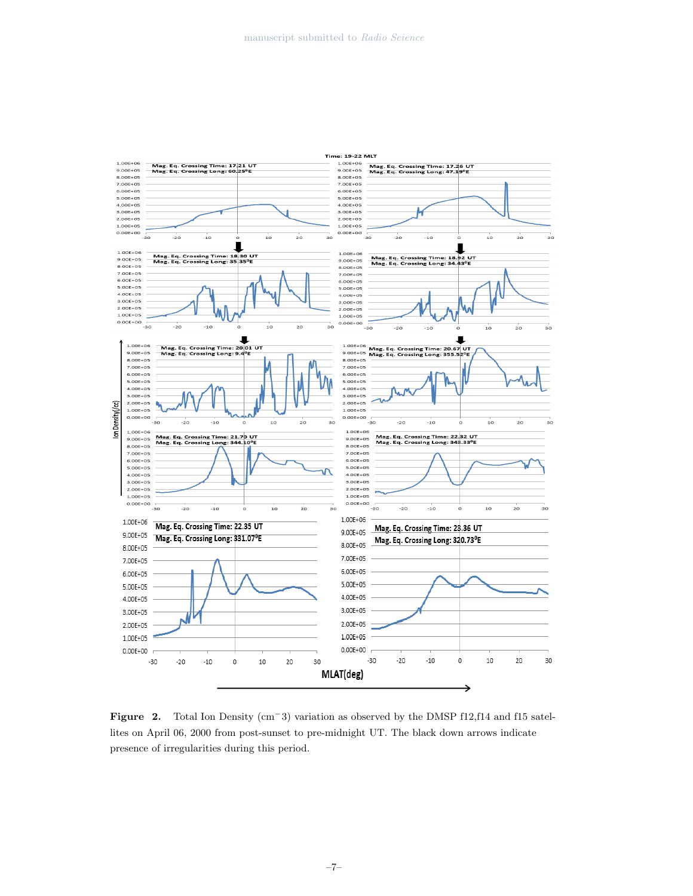

Figure 2. Total Ion Density (cm<sup>−</sup>3) variation as observed by the DMSP f12,f14 and f15 satellites on April 06, 2000 from post-sunset to pre-midnight UT. The black down arrows indicate presence of irregularities during this period.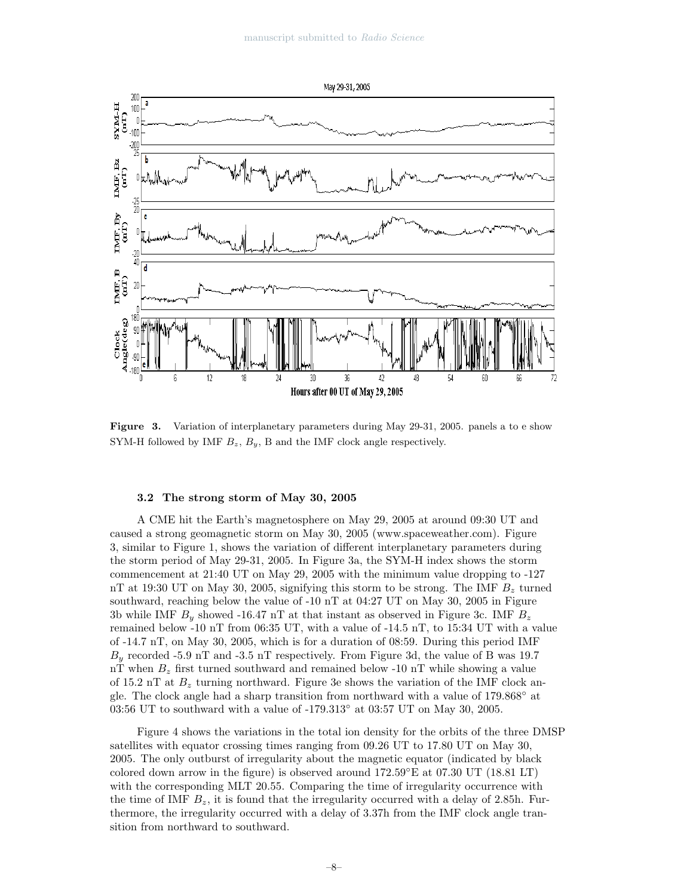

Figure 3. Variation of interplanetary parameters during May 29-31, 2005. panels a to e show SYM-H followed by IMF  $B_z$ ,  $B_y$ , B and the IMF clock angle respectively.

#### 3.2 The strong storm of May 30, 2005

A CME hit the Earth's magnetosphere on May 29, 2005 at around 09:30 UT and caused a strong geomagnetic storm on May 30, 2005 (www.spaceweather.com). Figure 3, similar to Figure 1, shows the variation of different interplanetary parameters during the storm period of May 29-31, 2005. In Figure 3a, the SYM-H index shows the storm commencement at 21:40 UT on May 29, 2005 with the minimum value dropping to -127 nT at 19:30 UT on May 30, 2005, signifying this storm to be strong. The IMF  $B<sub>z</sub>$  turned southward, reaching below the value of -10 nT at 04:27 UT on May 30, 2005 in Figure 3b while IMF  $B_y$  showed -16.47 nT at that instant as observed in Figure 3c. IMF  $B_z$ remained below -10 nT from 06:35 UT, with a value of -14.5 nT, to 15:34 UT with a value of -14.7 nT, on May 30, 2005, which is for a duration of 08:59. During this period IMF  $B_y$  recorded -5.9 nT and -3.5 nT respectively. From Figure 3d, the value of B was 19.7 nT when  $B_z$  first turned southward and remained below -10 nT while showing a value of 15.2 nT at  $B_z$  turning northward. Figure 3e shows the variation of the IMF clock angle. The clock angle had a sharp transition from northward with a value of 179.868◦ at 03:56 UT to southward with a value of -179.313◦ at 03:57 UT on May 30, 2005.

Figure 4 shows the variations in the total ion density for the orbits of the three DMSP satellites with equator crossing times ranging from 09.26 UT to 17.80 UT on May 30, 2005. The only outburst of irregularity about the magnetic equator (indicated by black colored down arrow in the figure) is observed around  $172.59°E$  at  $07.30$  UT  $(18.81 \text{ LT})$ with the corresponding MLT 20.55. Comparing the time of irregularity occurrence with the time of IMF  $B_z$ , it is found that the irregularity occurred with a delay of 2.85h. Furthermore, the irregularity occurred with a delay of 3.37h from the IMF clock angle transition from northward to southward.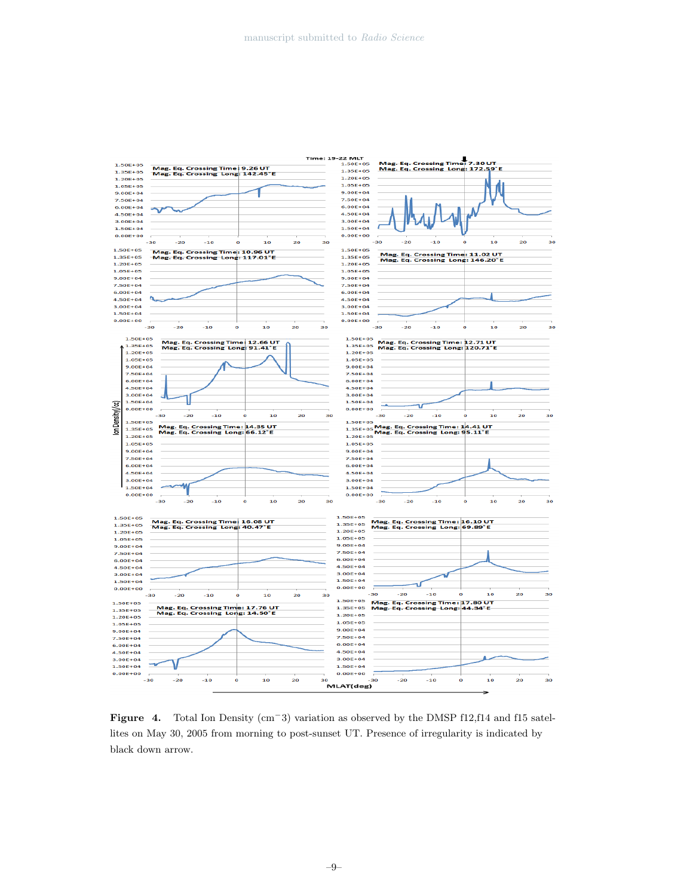

Figure 4. Total Ion Density (cm<sup>−</sup>3) variation as observed by the DMSP f12,f14 and f15 satellites on May 30, 2005 from morning to post-sunset UT. Presence of irregularity is indicated by black down arrow.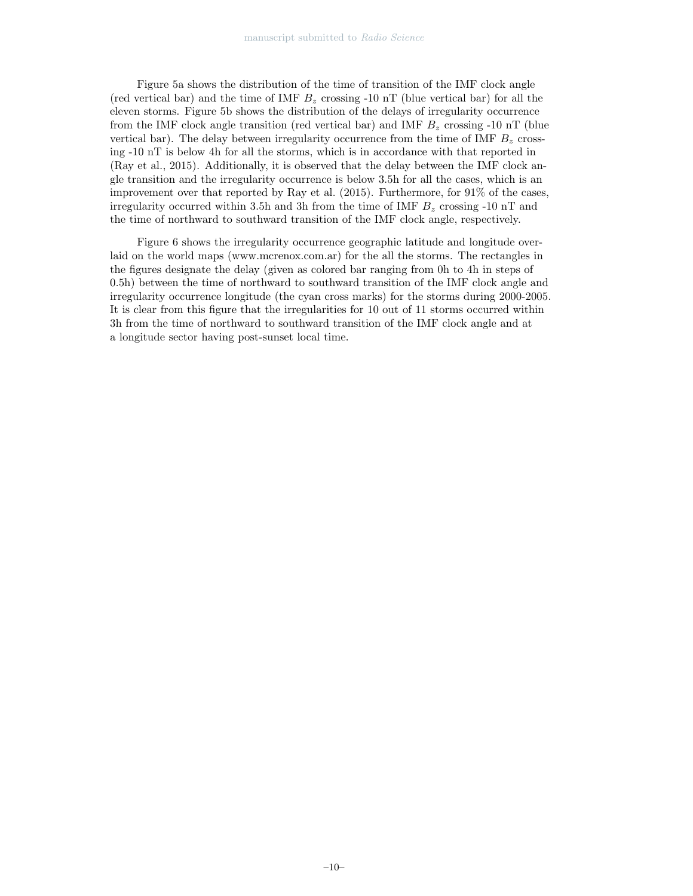Figure 5a shows the distribution of the time of transition of the IMF clock angle (red vertical bar) and the time of IMF  $B<sub>z</sub>$  crossing -10 nT (blue vertical bar) for all the eleven storms. Figure 5b shows the distribution of the delays of irregularity occurrence from the IMF clock angle transition (red vertical bar) and IMF  $B<sub>z</sub>$  crossing -10 nT (blue vertical bar). The delay between irregularity occurrence from the time of IMF  $B<sub>z</sub>$  crossing -10 nT is below 4h for all the storms, which is in accordance with that reported in (Ray et al., 2015). Additionally, it is observed that the delay between the IMF clock angle transition and the irregularity occurrence is below 3.5h for all the cases, which is an improvement over that reported by Ray et al. (2015). Furthermore, for 91% of the cases, irregularity occurred within 3.5h and 3h from the time of IMF  $B_z$  crossing -10 nT and the time of northward to southward transition of the IMF clock angle, respectively.

Figure 6 shows the irregularity occurrence geographic latitude and longitude overlaid on the world maps (www.mcrenox.com.ar) for the all the storms. The rectangles in the figures designate the delay (given as colored bar ranging from 0h to 4h in steps of 0.5h) between the time of northward to southward transition of the IMF clock angle and irregularity occurrence longitude (the cyan cross marks) for the storms during 2000-2005. It is clear from this figure that the irregularities for 10 out of 11 storms occurred within 3h from the time of northward to southward transition of the IMF clock angle and at a longitude sector having post-sunset local time.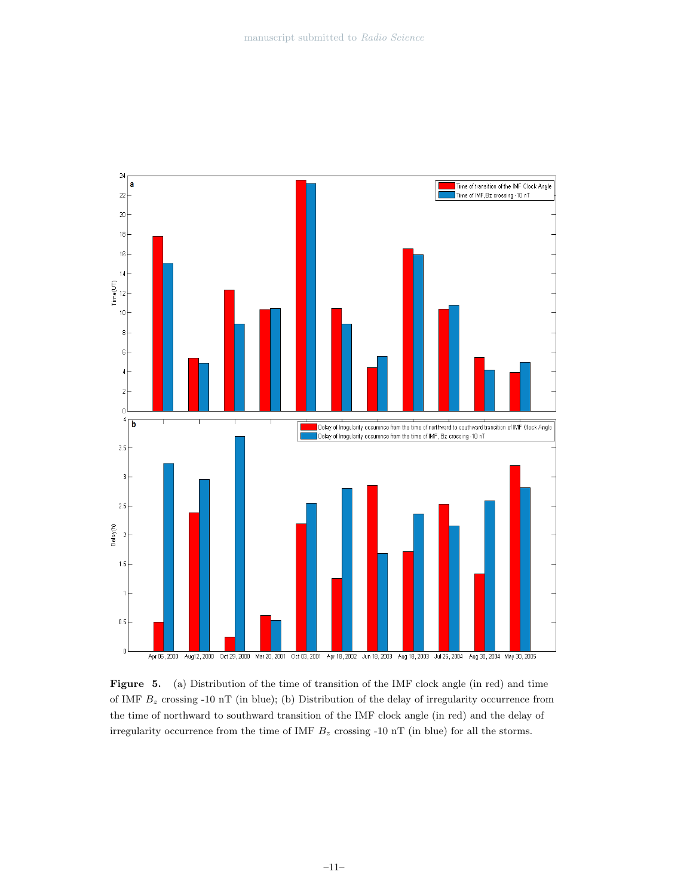

Figure 5. (a) Distribution of the time of transition of the IMF clock angle (in red) and time of IMF  $B<sub>z</sub>$  crossing -10 nT (in blue); (b) Distribution of the delay of irregularity occurrence from the time of northward to southward transition of the IMF clock angle (in red) and the delay of irregularity occurrence from the time of IMF  $B_z$  crossing -10 nT (in blue) for all the storms.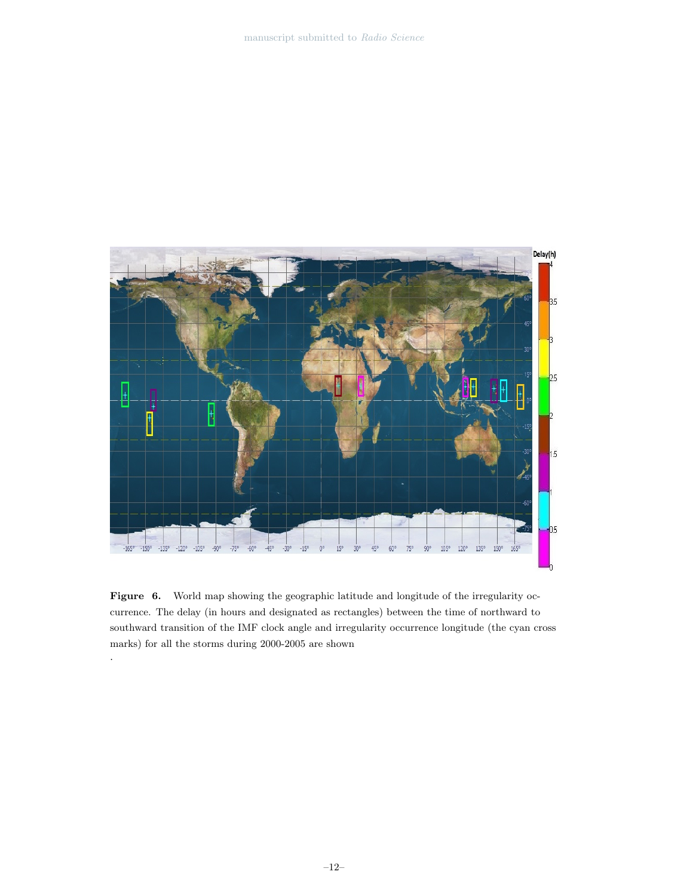

Figure 6. World map showing the geographic latitude and longitude of the irregularity occurrence. The delay (in hours and designated as rectangles) between the time of northward to southward transition of the IMF clock angle and irregularity occurrence longitude (the cyan cross marks) for all the storms during 2000-2005 are shown

.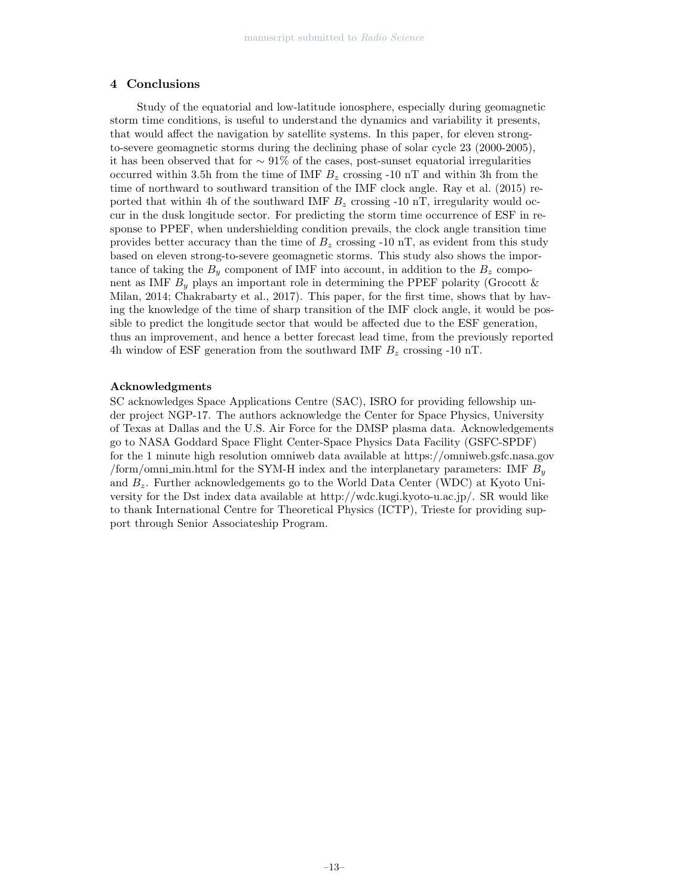# 4 Conclusions

Study of the equatorial and low-latitude ionosphere, especially during geomagnetic storm time conditions, is useful to understand the dynamics and variability it presents, that would affect the navigation by satellite systems. In this paper, for eleven strongto-severe geomagnetic storms during the declining phase of solar cycle 23 (2000-2005), it has been observed that for ∼ 91% of the cases, post-sunset equatorial irregularities occurred within 3.5h from the time of IMF  $B<sub>z</sub>$  crossing -10 nT and within 3h from the time of northward to southward transition of the IMF clock angle. Ray et al. (2015) reported that within 4h of the southward IMF  $B<sub>z</sub>$  crossing -10 nT, irregularity would occur in the dusk longitude sector. For predicting the storm time occurrence of ESF in response to PPEF, when undershielding condition prevails, the clock angle transition time provides better accuracy than the time of  $B_z$  crossing -10 nT, as evident from this study based on eleven strong-to-severe geomagnetic storms. This study also shows the importance of taking the  $B_y$  component of IMF into account, in addition to the  $B_z$  component as IMF  $B_y$  plays an important role in determining the PPEF polarity (Grocott & Milan, 2014; Chakrabarty et al., 2017). This paper, for the first time, shows that by having the knowledge of the time of sharp transition of the IMF clock angle, it would be possible to predict the longitude sector that would be affected due to the ESF generation, thus an improvement, and hence a better forecast lead time, from the previously reported 4h window of ESF generation from the southward IMF  $B<sub>z</sub>$  crossing -10 nT.

#### Acknowledgments

SC acknowledges Space Applications Centre (SAC), ISRO for providing fellowship under project NGP-17. The authors acknowledge the Center for Space Physics, University of Texas at Dallas and the U.S. Air Force for the DMSP plasma data. Acknowledgements go to NASA Goddard Space Flight Center-Space Physics Data Facility (GSFC-SPDF) for the 1 minute high resolution omniweb data available at https://omniweb.gsfc.nasa.gov /form/omni\_min.html for the SYM-H index and the interplanetary parameters: IMF  $B_y$ and  $B_z$ . Further acknowledgements go to the World Data Center (WDC) at Kyoto University for the Dst index data available at http://wdc.kugi.kyoto-u.ac.jp/. SR would like to thank International Centre for Theoretical Physics (ICTP), Trieste for providing support through Senior Associateship Program.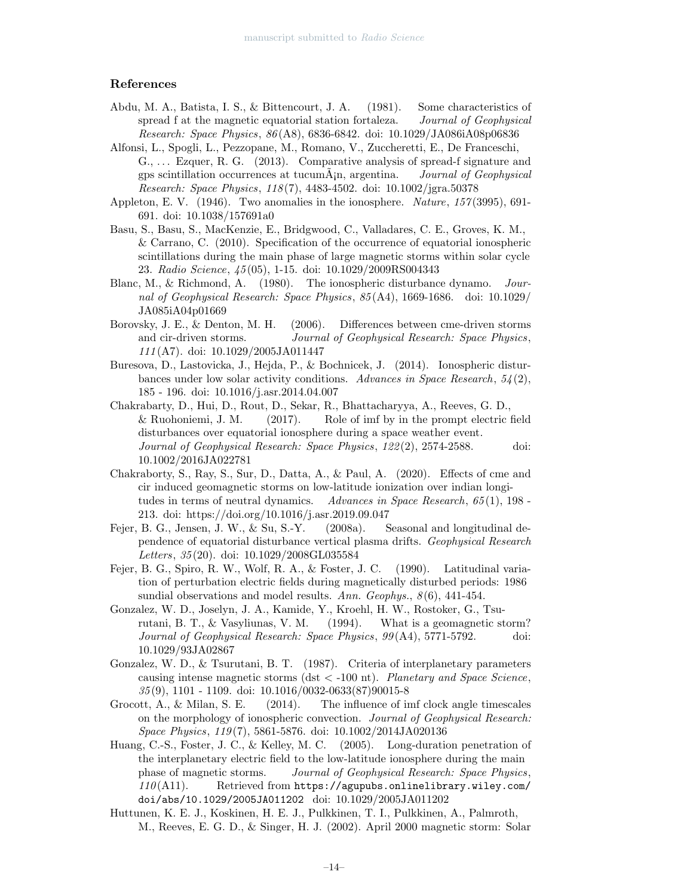# References

- Abdu, M. A., Batista, I. S., & Bittencourt, J. A. (1981). Some characteristics of spread f at the magnetic equatorial station fortaleza. *Journal of Geophysical Research: Space Physics*, *86* (A8), 6836-6842. doi: 10.1029/JA086iA08p06836
- Alfonsi, L., Spogli, L., Pezzopane, M., Romano, V., Zuccheretti, E., De Franceschi, G., . . . Ezquer, R. G. (2013). Comparative analysis of spread-f signature and gps scintillation occurrences at tucumA¡n, argentina. ˜ *Journal of Geophysical Research: Space Physics*, *118* (7), 4483-4502. doi: 10.1002/jgra.50378
- Appleton, E. V. (1946). Two anomalies in the ionosphere. *Nature*, *157* (3995), 691- 691. doi: 10.1038/157691a0
- Basu, S., Basu, S., MacKenzie, E., Bridgwood, C., Valladares, C. E., Groves, K. M., & Carrano, C. (2010). Specification of the occurrence of equatorial ionospheric scintillations during the main phase of large magnetic storms within solar cycle 23. *Radio Science*, *45* (05), 1-15. doi: 10.1029/2009RS004343
- Blanc, M., & Richmond, A. (1980). The ionospheric disturbance dynamo. *Journal of Geophysical Research: Space Physics*, *85* (A4), 1669-1686. doi: 10.1029/ JA085iA04p01669
- Borovsky, J. E., & Denton, M. H. (2006). Differences between cme-driven storms and cir-driven storms. *Journal of Geophysical Research: Space Physics*, *111* (A7). doi: 10.1029/2005JA011447
- Buresova, D., Lastovicka, J., Hejda, P., & Bochnicek, J. (2014). Ionospheric disturbances under low solar activity conditions. *Advances in Space Research*, *54* (2), 185 - 196. doi: 10.1016/j.asr.2014.04.007
- Chakrabarty, D., Hui, D., Rout, D., Sekar, R., Bhattacharyya, A., Reeves, G. D., & Ruohoniemi, J. M. (2017). Role of imf by in the prompt electric field disturbances over equatorial ionosphere during a space weather event. *Journal of Geophysical Research: Space Physics*, *122* (2), 2574-2588. doi: 10.1002/2016JA022781
- Chakraborty, S., Ray, S., Sur, D., Datta, A., & Paul, A. (2020). Effects of cme and cir induced geomagnetic storms on low-latitude ionization over indian longitudes in terms of neutral dynamics. *Advances in Space Research*, *65* (1), 198 - 213. doi: https://doi.org/10.1016/j.asr.2019.09.047
- Fejer, B. G., Jensen, J. W., & Su, S.-Y. (2008a). Seasonal and longitudinal dependence of equatorial disturbance vertical plasma drifts. *Geophysical Research Letters*, *35* (20). doi: 10.1029/2008GL035584
- Fejer, B. G., Spiro, R. W., Wolf, R. A., & Foster, J. C. (1990). Latitudinal variation of perturbation electric fields during magnetically disturbed periods: 1986 sundial observations and model results. *Ann. Geophys.*, *8* (6), 441-454.
- Gonzalez, W. D., Joselyn, J. A., Kamide, Y., Kroehl, H. W., Rostoker, G., Tsurutani, B. T., & Vasyliunas, V. M. (1994). What is a geomagnetic storm? *Journal of Geophysical Research: Space Physics*, *99* (A4), 5771-5792. doi: 10.1029/93JA02867
- Gonzalez, W. D., & Tsurutani, B. T. (1987). Criteria of interplanetary parameters causing intense magnetic storms (dst < -100 nt). *Planetary and Space Science*, *35* (9), 1101 - 1109. doi: 10.1016/0032-0633(87)90015-8
- Grocott, A., & Milan, S. E. (2014). The influence of imf clock angle timescales on the morphology of ionospheric convection. *Journal of Geophysical Research: Space Physics*, *119* (7), 5861-5876. doi: 10.1002/2014JA020136
- Huang, C.-S., Foster, J. C., & Kelley, M. C. (2005). Long-duration penetration of the interplanetary electric field to the low-latitude ionosphere during the main phase of magnetic storms. *Journal of Geophysical Research: Space Physics*, *110* (A11). Retrieved from https://agupubs.onlinelibrary.wiley.com/ doi/abs/10.1029/2005JA011202 doi: 10.1029/2005JA011202
- Huttunen, K. E. J., Koskinen, H. E. J., Pulkkinen, T. I., Pulkkinen, A., Palmroth, M., Reeves, E. G. D., & Singer, H. J. (2002). April 2000 magnetic storm: Solar